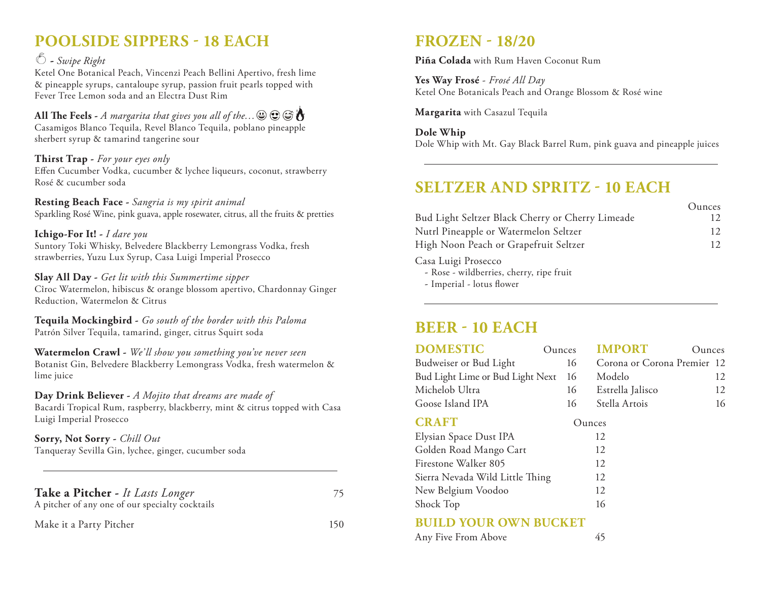# **POOLSIDE SIPPERS - 18 EACH**

#### **-** *Swipe Right*

Ketel One Botanical Peach, Vincenzi Peach Bellini Apertivo, fresh lime & pineapple syrups, cantaloupe syrup, passion fruit pearls topped with Fever Tree Lemon soda and an Electra Dust Rim

**All The Feels -** *A margarita that gives you all of the…* Casamigos Blanco Tequila, Revel Blanco Tequila, poblano pineapple sherbert syrup & tamarind tangerine sour

#### **Thirst Trap -** *For your eyes only*

Effen Cucumber Vodka, cucumber & lychee liqueurs, coconut, strawberry Rosé & cucumber soda

**Resting Beach Face -** *Sangria is my spirit animal*  Sparkling Rosé Wine, pink guava, apple rosewater, citrus, all the fruits & pretties

#### **Ichigo-For It! -** *I dare you*

Suntory Toki Whisky, Belvedere Blackberry Lemongrass Vodka, fresh strawberries, Yuzu Lux Syrup, Casa Luigi Imperial Prosecco

#### **Slay All Day -** *Get lit with this Summertime sipper*

Cîroc Watermelon, hibiscus & orange blossom apertivo, Chardonnay Ginger Reduction, Watermelon & Citrus

**Tequila Mockingbird -** *Go south of the border with this Paloma* Patrón Silver Tequila, tamarind, ginger, citrus Squirt soda

**Watermelon Crawl -** *We' ll show you something you've never seen* Botanist Gin, Belvedere Blackberry Lemongrass Vodka, fresh watermelon & lime juice

#### **Day Drink Believer -** *A Mojito that dreams are made of*

Bacardi Tropical Rum, raspberry, blackberry, mint & citrus topped with Casa Luigi Imperial Prosecco

#### **Sorry, Not Sorry -** *Chill Out* Tanqueray Sevilla Gin, lychee, ginger, cucumber soda

| Take a Pitcher - It Lasts Longer<br>A pitcher of any one of our specialty cocktails | 75              |
|-------------------------------------------------------------------------------------|-----------------|
| Make it a Party Pitcher                                                             | 15 <sub>0</sub> |

# **FROZEN - 18/20**

**Piña Colada** with Rum Haven Coconut Rum

**Yes Way Frosé** - *Frosé All Day* Ketel One Botanicals Peach and Orange Blossom & Rosé wine

**Margarita** with Casazul Tequila

**Dole Whip** Dole Whip with Mt. Gay Black Barrel Rum, pink guava and pineapple juices

# **SELTZER AND SPRITZ - 10 EACH**

|                                                  | Qunces |
|--------------------------------------------------|--------|
| Bud Light Seltzer Black Cherry or Cherry Limeade | 12.    |
| Nutrl Pineapple or Watermelon Seltzer            | 12     |
| High Noon Peach or Grapefruit Seltzer            | 12     |
|                                                  |        |

Casa Luigi Prosecco

- Rose - wildberries, cherry, ripe fruit

- Imperial - lotus flower

## **BEER - 10 EACH**

| <b>DOMESTIC</b>                  | Ounces | <b>IMPORT</b>               | Qunces |    |
|----------------------------------|--------|-----------------------------|--------|----|
| Budweiser or Bud Light           | 16     | Corona or Corona Premier 12 |        |    |
| Bud Light Lime or Bud Light Next | 16     | Modelo                      |        | 12 |
| Michelob Ultra                   | 16     | Estrella Jalisco            |        | 12 |
| Goose Island IPA                 | 16     | Stella Artois               |        | 16 |
| <b>CRAFT</b>                     |        | Ounces                      |        |    |
| Elysian Space Dust IPA           |        | 12                          |        |    |
| Golden Road Mango Cart           |        | 12                          |        |    |
| Firestone Walker 805             |        | 12                          |        |    |
| Sierra Nevada Wild Little Thing  |        | 12                          |        |    |
| New Belgium Voodoo               |        | 12                          |        |    |
| Shock Top                        |        | 16                          |        |    |
|                                  |        |                             |        |    |

#### **BUILD YOUR OWN BUCKET**

| Any Five From Above |  |
|---------------------|--|
|---------------------|--|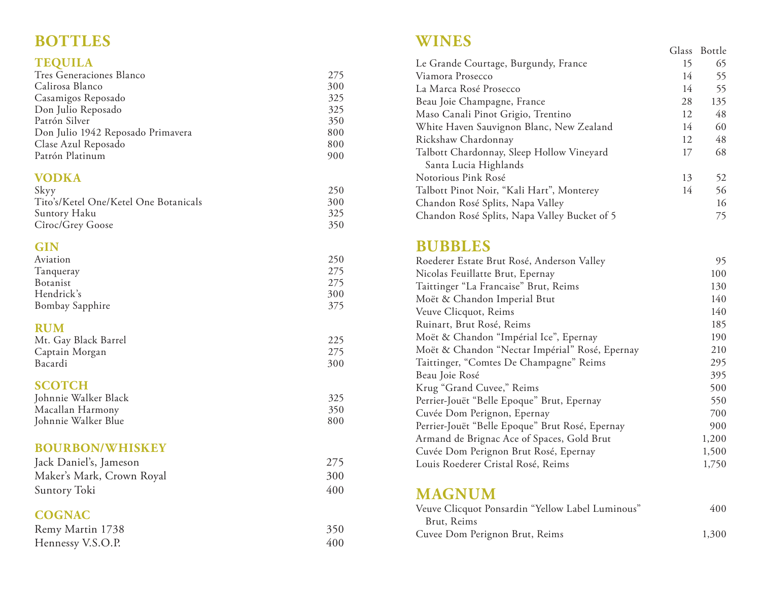## **TEQUILA**

| Tres Generaciones Blanco          | 275 |
|-----------------------------------|-----|
| Calirosa Blanco                   | 300 |
| Casamigos Reposado                | 325 |
| Don Julio Reposado                | 325 |
| Patrón Silver                     | 350 |
| Don Julio 1942 Reposado Primavera | 800 |
| Clase Azul Reposado               | 800 |
| Patrón Platinum                   | 900 |

### **VODKA**

| Skyy                                  | 250 |
|---------------------------------------|-----|
| Tito's/Ketel One/Ketel One Botanicals | 300 |
| Suntory Haku                          | 325 |
| Cîroc/Grey Goose                      | 350 |

## **GIN**

| Aviation        | 250 |
|-----------------|-----|
| Tanqueray       | 275 |
| Botanist        | 275 |
| Hendrick's      | 300 |
| Bombay Sapphire | 375 |
|                 |     |

## **RUM**

| Mt. Gay Black Barrel |     |
|----------------------|-----|
| Captain Morgan       | 275 |
| Bacardi              | 300 |

## **SCOTCH**

| Johnnie Walker Black | 325 |
|----------------------|-----|
| Macallan Harmony     | 350 |
| Johnnie Walker Blue  | 800 |

#### **BOURBON/WHISKEY**

| Jack Daniel's, Jameson    | 275 |
|---------------------------|-----|
| Maker's Mark, Crown Royal | 300 |
| Suntory Toki              | 400 |

## **COGNAC**

| Remy Martin 1738  | 350 |
|-------------------|-----|
| Hennessy V.S.O.P. | 400 |

## **WINES**

| <b>BOTTLES</b>                         |            | WINES                                                              |    |              |
|----------------------------------------|------------|--------------------------------------------------------------------|----|--------------|
|                                        |            |                                                                    |    | Glass Bottle |
| <b>TEQUILA</b>                         |            | Le Grande Courtage, Burgundy, France                               | 15 | 65           |
| Tres Generaciones Blanco               | 275        | Viamora Prosecco                                                   | 14 | 55           |
| Calirosa Blanco                        | 300        | La Marca Rosé Prosecco                                             | 14 | 55           |
| Casamigos Reposado                     | 325        | Beau Joie Champagne, France                                        | 28 | 135          |
| Don Julio Reposado                     | 325        | Maso Canali Pinot Grigio, Trentino                                 | 12 | 48           |
| Patrón Silver                          | 350        | White Haven Sauvignon Blanc, New Zealand                           | 14 | 60           |
| Don Julio 1942 Reposado Primavera      | 800        | Rickshaw Chardonnay                                                | 12 | 48           |
| Clase Azul Reposado<br>Patrón Platinum | 800<br>900 | Talbott Chardonnay, Sleep Hollow Vineyard<br>Santa Lucia Highlands | 17 | 68           |
| <b>VODKA</b>                           |            | Notorious Pink Rosé                                                | 13 | 52           |
| Skyy                                   | 250        | Talbott Pinot Noir, "Kali Hart", Monterey                          | 14 | 56           |
| Tito's/Ketel One/Ketel One Botanicals  | 300        | Chandon Rosé Splits, Napa Valley                                   |    | 16           |
| Suntory Haku                           | 325        | Chandon Rosé Splits, Napa Valley Bucket of 5                       |    | 75           |
| $Circ/C$ rey Coose                     | 350        |                                                                    |    |              |

## **BUBBLES**

| Roederer Estate Brut Rosé, Anderson Valley      | 95    |
|-------------------------------------------------|-------|
| Nicolas Feuillatte Brut, Epernay                | 100   |
| Taittinger "La Francaise" Brut, Reims           | 130   |
| Moët & Chandon Imperial Btut                    | 140   |
| Veuve Clicquot, Reims                           | 140   |
| Ruinart, Brut Rosé, Reims                       | 185   |
| Moët & Chandon "Impérial Ice", Epernay          | 190   |
| Moët & Chandon "Nectar Impérial" Rosé, Epernay  | 210   |
| Taittinger, "Comtes De Champagne" Reims         | 295   |
| Beau Joie Rosé                                  | 395   |
| Krug "Grand Cuvee," Reims                       | 500   |
| Perrier-Jouët "Belle Epoque" Brut, Epernay      | 550   |
| Cuvée Dom Perignon, Epernay                     | 700   |
| Perrier-Jouët "Belle Epoque" Brut Rosé, Epernay | 900   |
| Armand de Brignac Ace of Spaces, Gold Brut      | 1,200 |
| Cuvée Dom Perignon Brut Rosé, Epernay           | 1,500 |
| Louis Roederer Cristal Rosé, Reims              | 1,750 |

# **MAGNUM**

| Veuve Clicquot Ponsardin "Yellow Label Luminous" | 400   |
|--------------------------------------------------|-------|
| Brut, Reims                                      |       |
| Cuvee Dom Perignon Brut, Reims                   | 1,300 |